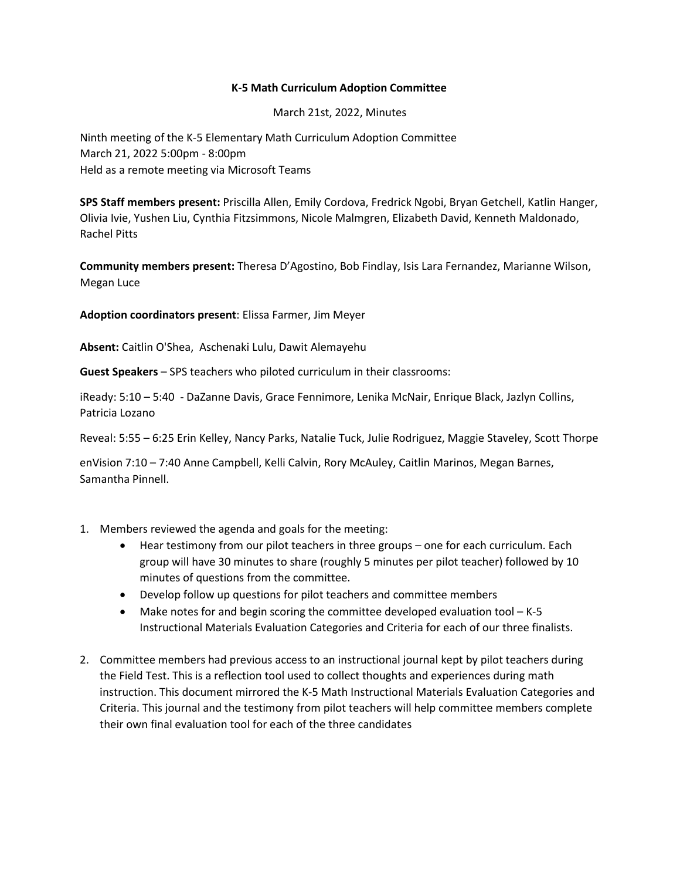## **K-5 Math Curriculum Adoption Committee**

March 21st, 2022, Minutes

Ninth meeting of the K-5 Elementary Math Curriculum Adoption Committee March 21, 2022 5:00pm - 8:00pm Held as a remote meeting via Microsoft Teams

**SPS Staff members present:** Priscilla Allen, Emily Cordova, Fredrick Ngobi, Bryan Getchell, Katlin Hanger, Olivia Ivie, Yushen Liu, Cynthia Fitzsimmons, Nicole Malmgren, Elizabeth David, Kenneth Maldonado, Rachel Pitts

**Community members present:** Theresa D'Agostino, Bob Findlay, Isis Lara Fernandez, Marianne Wilson, Megan Luce

**Adoption coordinators present**: Elissa Farmer, Jim Meyer

**Absent:** Caitlin O'Shea, Aschenaki Lulu, Dawit Alemayehu

**Guest Speakers** – SPS teachers who piloted curriculum in their classrooms:

iReady: 5:10 – 5:40 - DaZanne Davis, Grace Fennimore, Lenika McNair, Enrique Black, Jazlyn Collins, Patricia Lozano

Reveal: 5:55 – 6:25 Erin Kelley, Nancy Parks, Natalie Tuck, Julie Rodriguez, Maggie Staveley, Scott Thorpe

enVision 7:10 – 7:40 Anne Campbell, Kelli Calvin, Rory McAuley, Caitlin Marinos, Megan Barnes, Samantha Pinnell.

- 1. Members reviewed the agenda and goals for the meeting:
	- Hear testimony from our pilot teachers in three groups one for each curriculum. Each group will have 30 minutes to share (roughly 5 minutes per pilot teacher) followed by 10 minutes of questions from the committee.
	- Develop follow up questions for pilot teachers and committee members
	- Make notes for and begin scoring the committee developed evaluation tool K-5 Instructional Materials Evaluation Categories and Criteria for each of our three finalists.
- 2. Committee members had previous access to an instructional journal kept by pilot teachers during the Field Test. This is a reflection tool used to collect thoughts and experiences during math instruction. This document mirrored the K-5 Math Instructional Materials Evaluation Categories and Criteria. This journal and the testimony from pilot teachers will help committee members complete their own final evaluation tool for each of the three candidates